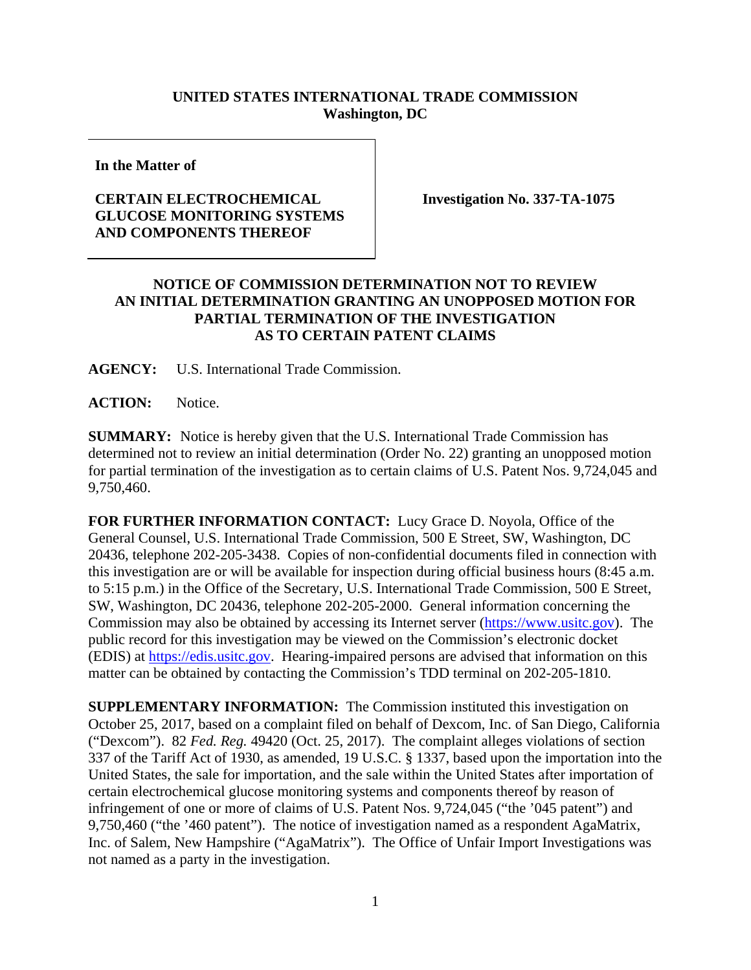## **UNITED STATES INTERNATIONAL TRADE COMMISSION Washington, DC**

**In the Matter of** 

## **CERTAIN ELECTROCHEMICAL GLUCOSE MONITORING SYSTEMS AND COMPONENTS THEREOF**

**Investigation No. 337-TA-1075** 

## **NOTICE OF COMMISSION DETERMINATION NOT TO REVIEW AN INITIAL DETERMINATION GRANTING AN UNOPPOSED MOTION FOR PARTIAL TERMINATION OF THE INVESTIGATION AS TO CERTAIN PATENT CLAIMS**

**AGENCY:** U.S. International Trade Commission.

**ACTION:** Notice.

**SUMMARY:** Notice is hereby given that the U.S. International Trade Commission has determined not to review an initial determination (Order No. 22) granting an unopposed motion for partial termination of the investigation as to certain claims of U.S. Patent Nos. 9,724,045 and 9,750,460.

**FOR FURTHER INFORMATION CONTACT:** Lucy Grace D. Noyola, Office of the General Counsel, U.S. International Trade Commission, 500 E Street, SW, Washington, DC 20436, telephone 202-205-3438. Copies of non-confidential documents filed in connection with this investigation are or will be available for inspection during official business hours (8:45 a.m. to 5:15 p.m.) in the Office of the Secretary, U.S. International Trade Commission, 500 E Street, SW, Washington, DC 20436, telephone 202-205-2000. General information concerning the Commission may also be obtained by accessing its Internet server (https://www.usitc.gov). The public record for this investigation may be viewed on the Commission's electronic docket (EDIS) at https://edis.usitc.gov. Hearing-impaired persons are advised that information on this matter can be obtained by contacting the Commission's TDD terminal on 202-205-1810.

**SUPPLEMENTARY INFORMATION:** The Commission instituted this investigation on October 25, 2017, based on a complaint filed on behalf of Dexcom, Inc. of San Diego, California ("Dexcom"). 82 *Fed. Reg.* 49420 (Oct. 25, 2017). The complaint alleges violations of section 337 of the Tariff Act of 1930, as amended, 19 U.S.C. § 1337, based upon the importation into the United States, the sale for importation, and the sale within the United States after importation of certain electrochemical glucose monitoring systems and components thereof by reason of infringement of one or more of claims of U.S. Patent Nos. 9,724,045 ("the '045 patent") and 9,750,460 ("the '460 patent"). The notice of investigation named as a respondent AgaMatrix, Inc. of Salem, New Hampshire ("AgaMatrix"). The Office of Unfair Import Investigations was not named as a party in the investigation.